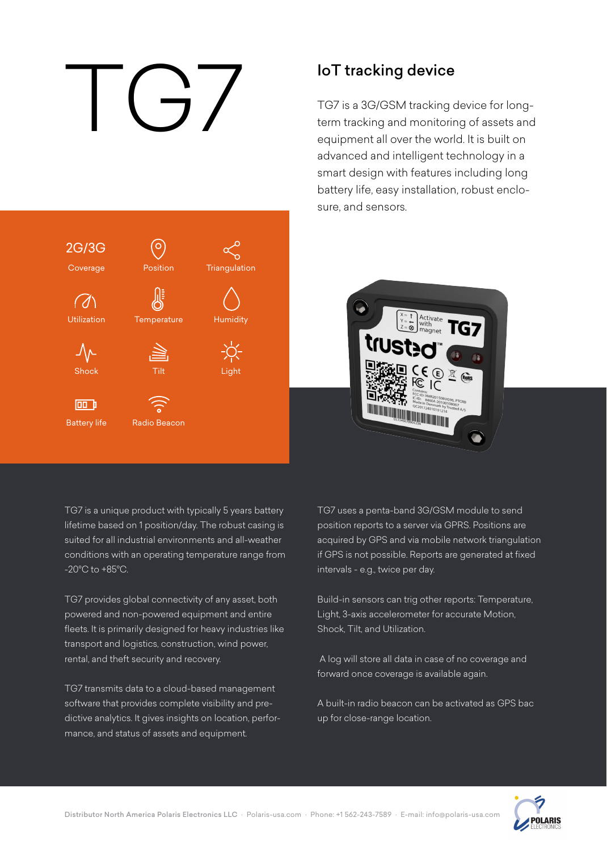# IoT tracking device<br>TG7 is a 3G/GSM tracking<br>term tracking and monitoring<br>equipment all over the world



TG7 is a 3G/GSM tracking device for longterm tracking and monitoring of assets and equipment all over the world. It is built on advanced and intelligent technology in a smart design with features including long battery life, easy installation, robust enclosure, and sensors.



TG7 is a unique product with typically 5 years battery lifetime based on 1 position/day. The robust casing is suited for all industrial environments and all-weather conditions with an operating temperature range from -20°C to +85°C.

TG7 provides global connectivity of any asset, both powered and non-powered equipment and entire fleets. It is primarily designed for heavy industries like transport and logistics, construction, wind power, rental, and theft security and recovery.

TG7 transmits data to a cloud-based management software that provides complete visibility and predictive analytics. It gives insights on location, performance, and status of assets and equipment.

TG7 uses a penta-band 3G/GSM module to send position reports to a server via GPRS. Positions are acquired by GPS and via mobile network triangulation if GPS is not possible. Reports are generated at fixed intervals - e.g., twice per day.

Build-in sensors can trig other reports: Temperature, Light, 3-axis accelerometer for accurate Motion, Shock, Tilt, and Utilization.

 A log will store all data in case of no coverage and forward once coverage is available again.

A built-in radio beacon can be activated as GPS bac up for close-range location.